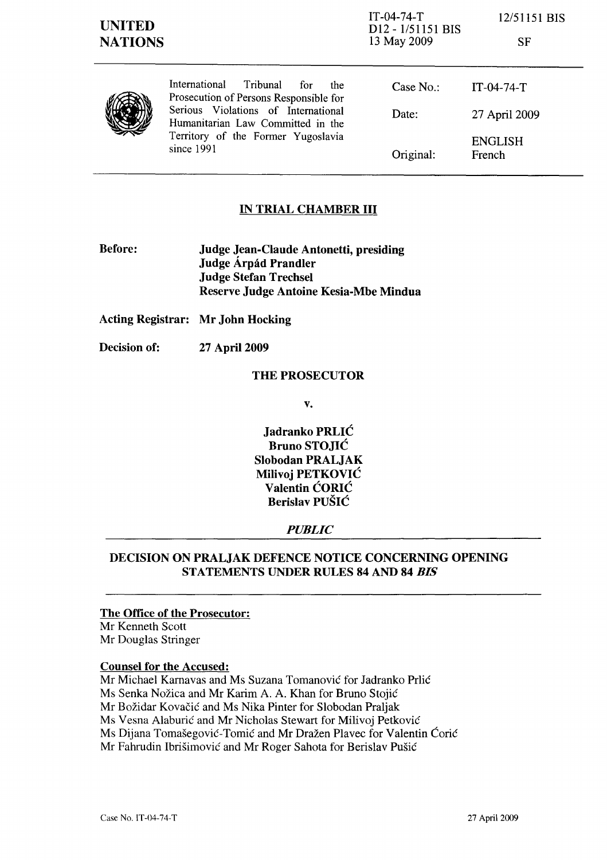|               | × |
|---------------|---|
| ٦<br>۰.<br>۰. |   |

|  | International<br>Tribunal<br>for<br>the<br>Prosecution of Persons Responsible for<br>Serious Violations of International<br>Date:<br>Humanitarian Law Committed in the<br>Territory of the Former Yugoslavia<br>since 1991 | Case $No.$ : | $IT-04-74-T$             |
|--|----------------------------------------------------------------------------------------------------------------------------------------------------------------------------------------------------------------------------|--------------|--------------------------|
|  |                                                                                                                                                                                                                            |              | 27 April 2009            |
|  |                                                                                                                                                                                                                            | Original:    | <b>ENGLISH</b><br>French |

# IN TRIAL CHAMBER III

Before: Judge Jean-Claude Antonetti, presiding Judge Árpád Prandler Judge Stefan Trechsel Reserve Judge Antoine Kesia-Mbe Mindua

Acting Registrar: Mr John Hocking

Decision of: 27 April 2009

## THE PROSECUTOR

v.

Jadranko PRLIC Bruno STOJIC Slobodan PRALJAK Milivoj PETKOVIC Valentin CORIC Berislav PUSIC

## *PUBLIC*

## DECISION ON PRALJAK DEFENCE NOTICE CONCERNING OPENING STATEMENTS UNDER RULES 84 AND 84 *BIS*

### The Office of the Prosecutor:

Mr Kenneth Scott Mr Douglas Stringer

#### Counsel for the Accused:

Mr Michael Karnavas and Ms Suzana Tomanović for Jadranko Prlić Ms Senka Nožica and Mr Karim A. A. Khan for Bruno Stojić Mr Bozidar Kovacic and Ms Nika Pinter for Slobodan Praljak Ms Vesna Alaburic and Mr Nicholas Stewart for Milivoj Petkovic Ms Dijana Tomašegović-Tomić and Mr Dražen Plavec for Valentin Ćorić Mr Fahrudin Ibrisimovic and Mr Roger Sahota for Berislav Pusic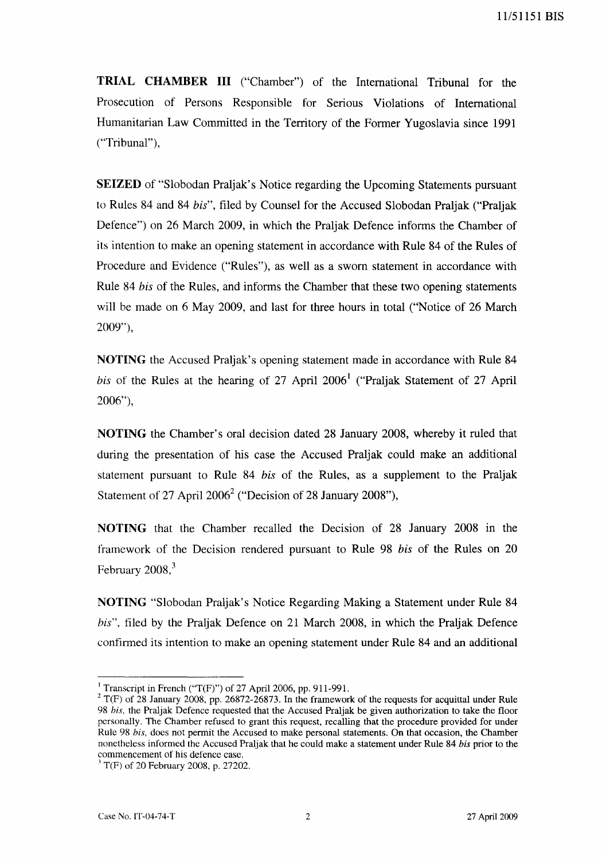**TRIAL CHAMBER III** ("Chamber") of the International Tribunal for the Prosecution of Persons Responsible for Serious Violations of International Humanitarian Law Committed in the Territory of the Former Yugoslavia since 1991 ("Tribunal"),

**SEIZED** of "Slobodan Praljak's Notice regarding the Upcoming Statements pursuant to Rules 84 and 84 *his",* filed by Counsel for the Accused Slobodan Praljak ("Praljak Defence") on 26 March 2009, in which the Praljak Defence informs the Chamber of its intention to make an opening statement in accordance with Rule 84 of the Rules of Procedure and Evidence ("Rules"), as well as a sworn statement in accordance with Rule 84 *his* of the Rules, and informs the Chamber that these two opening statements will be made on 6 May 2009, and last for three hours in total ("Notice of 26 March 2009"),

**NOTING** the Accused Praljak's opening statement made in accordance with Rule 84 *his* of the Rules at the hearing of 27 April 2006<sup>1</sup> ("Praljak Statement of 27 April 2006"),

**NOTING** the Chamber's oral decision dated 28 January 2008, whereby it ruled that during the presentation of his case the Accused Praljak could make an additional statement pursuant to Rule 84 *his* of the Rules, as a supplement to the Praljak Statement of 27 April  $2006^2$  ("Decision of 28 January 2008"),

**NOTING** that the Chamber recalled the Decision of 28 January 2008 in the framework of the Decision rendered pursuant to Rule 98 *his* of the Rules on 20 February  $2008$ , $3$ 

**NOTING** "Slobodan Praljak's Notice Regarding Making a Statement under Rule 84 *his",* filed by the Praljak Defence on 21 March 2008, in which the Praljak Defence confirmed its intention to make an opening statement under Rule 84 and an additional

<sup>&</sup>lt;sup>1</sup> Transcript in French ("T(F)") of 27 April 2006, pp. 911-991.

 $2$  T(F) of 28 January 2008, pp. 26872-26873. In the framework of the requests for acquittal under Rule *98 his.* the Praljak Defence requested that the Accused Praljak be given authorization to take the floor personally. The Chamber refused to grant this request, recalling that the procedure provided for under Rule 98 *his,* does not permit the Accused to make personal statements. On that occasion, the Chamber nonetheless informed the Accused Praljak that he could make a statement under Rule 84 *his* prior to the commencement of his defence case.

 $1^3$  T(F) of 20 February 2008, p. 27202.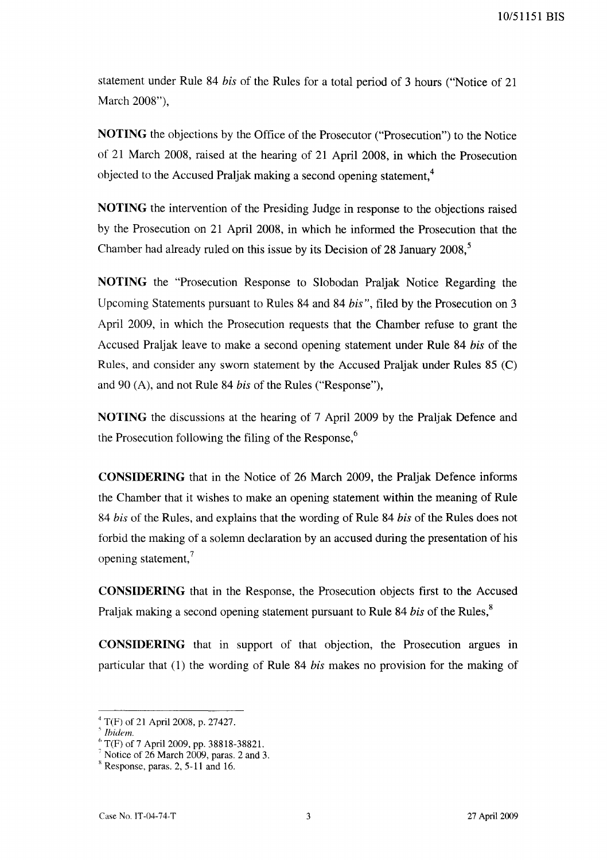10/51151 BIS

statement under Rule 84 *his* of the Rules for a total period of 3 hours ("Notice of 21 March 2008"),

**NOTING** the objections by the Office of the Prosecutor ("Prosecution") to the Notice of 21 March 2008, raised at the hearing of 21 April 2008, in which the Prosecution objected to the Accused Praljak making a second opening statement.<sup>4</sup>

**NOTING** the intervention of the Presiding Judge in response to the objections raised by the Prosecution on 21 April 2008, in which he informed the Prosecution that the Chamber had already ruled on this issue by its Decision of 28 January 2008, <sup>5</sup>

**NOTING** the "Prosecution Response to Slobodan Praljak Notice Regarding the Upcoming Statements pursuant to Rules 84 and 84 *his",* filed by the Prosecution on 3 April 2009, in which the Prosecution requests that the Chamber refuse to grant the Accused Praljak leave to make a second opening statement under Rule 84 *his* of the Rules, and consider any sworn statement by the Accused Praljak under Rules 85 (C) and 90 (A), and not Rule 84 *his* of the Rules ("Response"),

**NOTING** the discussions at the hearing of 7 April 2009 by the Praljak Defence and the Prosecution following the filing of the Response, $6\%$ 

**CONSIDERING** that in the Notice of 26 March 2009, the Praljak Defence informs the Chamber that it wishes to make an opening statement within the meaning of Rule *84 his* of the Rules, and explains that the wording of Rule 84 *his* of the Rules does not forbid the making of a solemn declaration by an accused during the presentation of his opening statement, $^7$ 

**CONSIDERING** that in the Response, the Prosecution objects first to the Accused Praljak making a second opening statement pursuant to Rule 84 *bis* of the Rules,<sup>8</sup>

**CONSIDERING** that in support of that objection, the Prosecution argues in particular that (I) the wording of Rule 84 *his* makes no provision for the making of

<sup>4</sup> T(F) of 21 April 2008, p. 27427.

*<sup>,</sup> Ibidem.* 

 $6$  T(F) of 7 April 2009, pp. 38818-38821.

 $7$  Notice of 26 March 2009, paras. 2 and 3.

 $8$  Response, paras. 2, 5-11 and 16.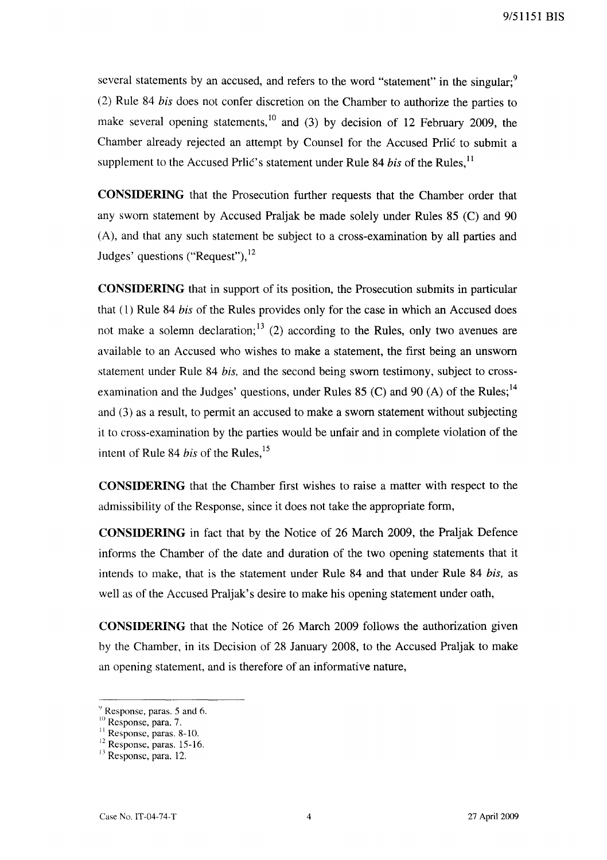several statements by an accused, and refers to the word "statement" in the singular:<sup>9</sup> (2) Rule 84 *his* does not confer discretion on the Chamber to authorize the parties to make several opening statements,<sup>10</sup> and (3) by decision of 12 February 2009, the Chamber already rejected an attempt by Counsel for the Accused Prlić to submit a supplement to the Accused Prlic's statement under Rule 84 *bis* of the Rules,<sup>11</sup>

**CONSIDERING** that the Prosecution further requests that the Chamber order that any sworn statement by Accused Praljak be made solely under Rules 85 (C) and 90 (A), and that any such statement be subject to a cross-examination by all parties and Judges' questions ("Request"),  $^{12}$ 

**CONSIDERING** that in support of its position, the Prosecution submits in particular that (l) Rule 84 *his* of the Rules provides only for the case in which an Accused does not make a solemn declaration;  $13$  (2) according to the Rules, only two avenues are available to an Accused who wishes to make a statement, the first being an unsworn statement under Rule 84 *his,* and the second being sworn testimony, subject to crossexamination and the Judges' questions, under Rules 85 (C) and 90 (A) of the Rules;<sup>14</sup> and (3) as a result, to permit an accused to make a sworn statement without subjecting it to cross-examination by the parties would be unfair and in complete violation of the intent of Rule 84 *bis* of the Rules,<sup>15</sup>

**CONSIDERING** that the Chamber first wishes to raise a matter with respect to the admissibility of the Response, since it does not take the appropriate form,

**CONSIDERING** in fact that by the Notice of 26 March 2009, the Praljak Defence informs the Chamber of the date and duration of the two opening statements that it intends to make, that is the statement under Rule 84 and that under Rule 84 *his,* as well as of the Accused Praljak's desire to make his opening statement under oath,

**CONSIDERING** that the Notice of 26 March 2009 follows the authorization given by the Chamber, in its Decision of 28 January 2008, to the Accused Praljak to make an opening statement, and is therefore of an informative nature,

 $9$  Response, paras. 5 and 6.

<sup>&</sup>lt;sup>10</sup> Response, para. 7.

<sup>&</sup>lt;sup>11</sup> Response, paras. 8-10.

<sup>&</sup>lt;sup>12</sup> Response, paras. 15-16.

<sup>&</sup>lt;sup>13</sup> Response, para. 12.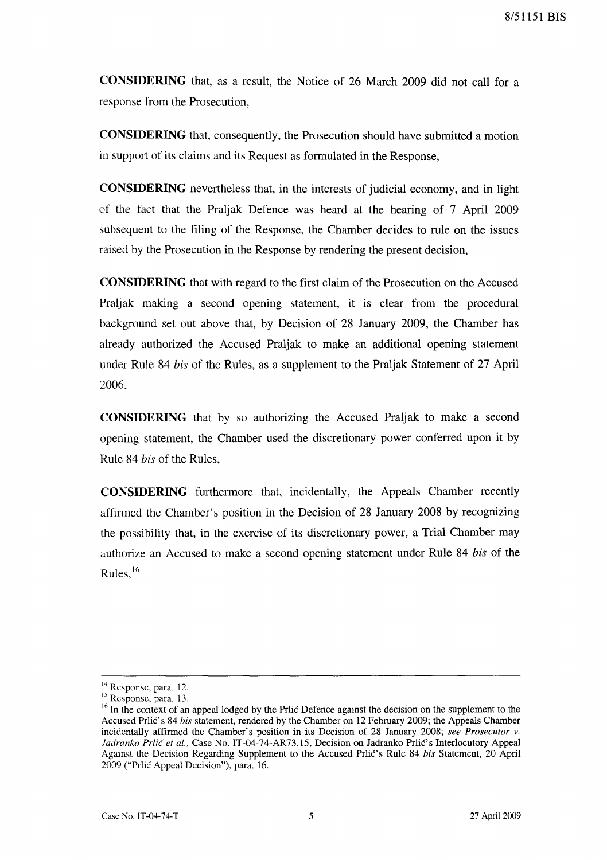**CONSIDERING** that, as a result, the Notice of 26 March 2009 did not call for a response from the Prosecution,

**CONSIDERING** that, consequently, the Prosecution should have submitted a motion in support of its claims and its Request as formulated in the Response,

**CONSIDERING** nevertheless that, in the interests of judicial economy, and in light of the fact that the Praljak Defence was heard at the hearing of 7 April 2009 subsequent to the filing of the Response, the Chamber decides to rule on the issues raised by the Prosecution in the Response by rendering the present decision,

**CONSIDERING** that with regard to the first claim of the Prosecution on the Accused Praljak making a second opening statement, it is clear from the procedural background set out above that, by Decision of 28 January 2009, the Chamber has already authorized the Accused Praljak to make an additional opening statement under Rule 84 *his* of the Rules, as a supplement to the Praljak Statement of 27 April 2006,

**CONSIDERING** that by so authorizing the Accused Praljak to make a second opening statement, the Chamber used the discretionary power conferred upon it by Rule 84 *his* of the Rules,

**CONSIDERING** furthermore that, incidentally, the Appeals Chamber recently affirmed the Chamber's position in the Decision of 28 January 2008 by recognizing the possibility that, in the exercise of its discretionary power, a Trial Chamber may authorize an Accused to make a second opening statement under Rule 84 *his* of the Rules, $16$ 

<sup>&</sup>lt;sup>14</sup> Response, para. 12.

<sup>&</sup>lt;sup>15</sup> Response, para. 13.

 $16$  In the context of an appeal lodged by the Prlic Defence against the decision on the supplement to the Accused PrliC's 84 *his* statement, rendered by the Chamber on 12 February 2009; the Appeals Chamber incidentally affirmed the Chamber's position in its Decision of 28 January 2008; *see Prosecutor* v. Jadranko Prlić et al., Case No. IT-04-74-AR73.15, Decision on Jadranko Prlić's Interlocutory Appeal Against the Decision Regarding Supplement to the Accused Prlic's Rule 84 bis Statement, 20 April 2009 ("Prlic Appeal Decision"), para. 16.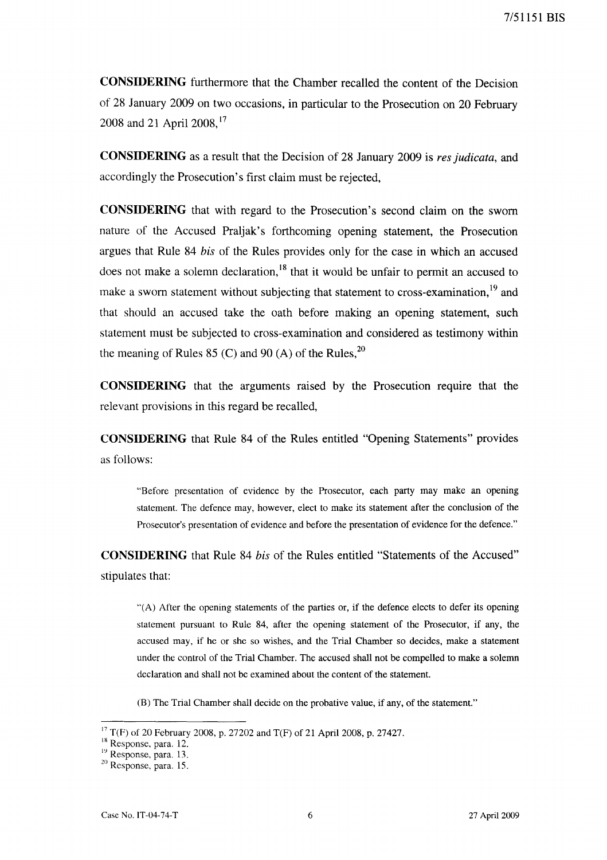**CONSIDERING** furthermore that the Chamber recalled the content of the Decision of 28 January 2009 on two occasions, in particular to the Prosecution on 20 February 2008 and 21 April 2008,<sup>17</sup>

**CONSIDERING** as a result that the Decision of 28 January 2009 is *res judicata,* and accordingly the Prosecution's first claim must be rejected,

**CONSIDERING** that with regard to the Prosecution's second claim on the sworn nature of the Accused Praljak's forthcoming opening statement, the Prosecution argues that Rule 84 *his* of the Rules provides only for the case in which an accused does not make a solemn declaration,<sup>18</sup> that it would be unfair to permit an accused to make a sworn statement without subjecting that statement to cross-examination,<sup>19</sup> and that should an accused take the oath before making an opening statement, such statement must be subjected to cross-examination and considered as testimony within the meaning of Rules 85 (C) and 90 (A) of the Rules,  $^{20}$ 

**CONSIDERING** that the arguments raised by the Prosecution require that the relevant provisions in this regard be recalled,

**CONSIDERING** that Rule 84 of the Rules entitled "Opening Statements" provides as follows:

"Before presentation of evidence by the Prosecutor, each party may make an opening statement. The defence may, however, elect to make its statement after the conclusion of the Prosecutor's presentation of evidence and before the presentation of evidence for the defence."

**CONSIDERING** that Rule 84 *his* of the Rules entitled "Statements of the Accused" stipulates that:

"(A) After the opening statements of the parties or, if the defence elects to defer its opening statement pursuant to Rule 84, after the opening statement of the Prosecutor, if any, the accused may, if he or she so wishes, and the Trial Chamber so decides, make a statement under the control of the Trial Chamber. The accused shall not be compelled to make a solemn declaration and shall not be examined about the content of the statement.

(B) The Trial Chamber shall decide on the probative value, if any, of the statement."

<sup>&</sup>lt;sup>17</sup> T(F) of 20 February 2008, p. 27202 and T(F) of 21 April 2008, p. 27427.

<sup>&</sup>lt;sup>18</sup> Response, para. 12.

<sup>&</sup>lt;sup>19</sup> Response, para. 13.

<sup>20</sup> Response, para. 15.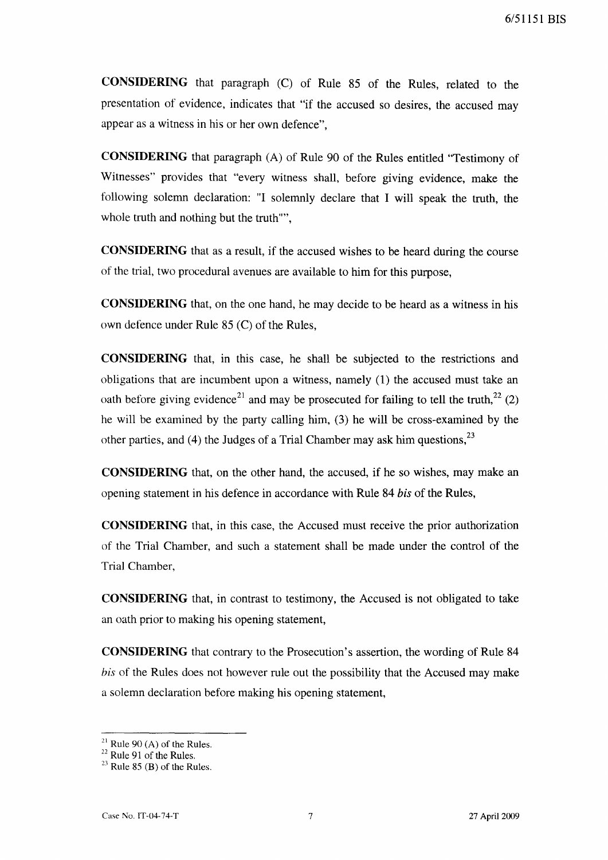**CONSIDERING** that paragraph (C) of Rule 85 of the Rules, related to the presentation of evidence, indicates that "if the accused so desires, the accused may appear as a witness in his or her own defence",

**CONSIDERING** that paragraph (A) of Rule 90 of the Rules entitled "Testimony of Witnesses" provides that "every witness shall, before giving evidence, make the following solemn declaration: "I solemnly declare that I will speak the truth, the whole truth and nothing but the truth"",

**CONSIDERING** that as a result, if the accused wishes to be heard during the course of the trial, two procedural avenues are available to him for this purpose,

**CONSIDERING** that, on the one hand, he may decide to be heard as a witness in his own defence under Rule 85 (C) of the Rules,

**CONSIDERING** that, in this case, he shall be subjected to the restrictions and obligations that are incumbent upon a witness, namely (1) the accused must take an oath before giving evidence<sup>21</sup> and may be prosecuted for failing to tell the truth,  $^{22}$  (2) he will be examined by the party calling him, (3) he will be cross-examined by the other parties, and (4) the Judges of a Trial Chamber may ask him questions,  $^{23}$ 

**CONSIDERING** that, on the other hand, the accused, if he so wishes, may make an opening statement in his defence in accordance with Rule 84 *bis* of the Rules,

**CONSIDERING** that, in this case, the Accused must receive the prior authorization of the Trial Chamber, and such a statement shall be made under the control of the Trial Chamber,

**CONSIDERING** that, in contrast to testimony, the Accused is not obligated to take an oath prior to making his opening statement,

**CONSIDERING** that contrary to the Prosecution's assertion, the wording of Rule 84 *his* of the Rules does not however rule out the possibility that the Accused may make a solemn declaration before making his opening statement,

 $21$  Rule 90 (A) of the Rules.

 $22$  Rule 91 of the Rules.

 $23$  Rule 85 (B) of the Rules.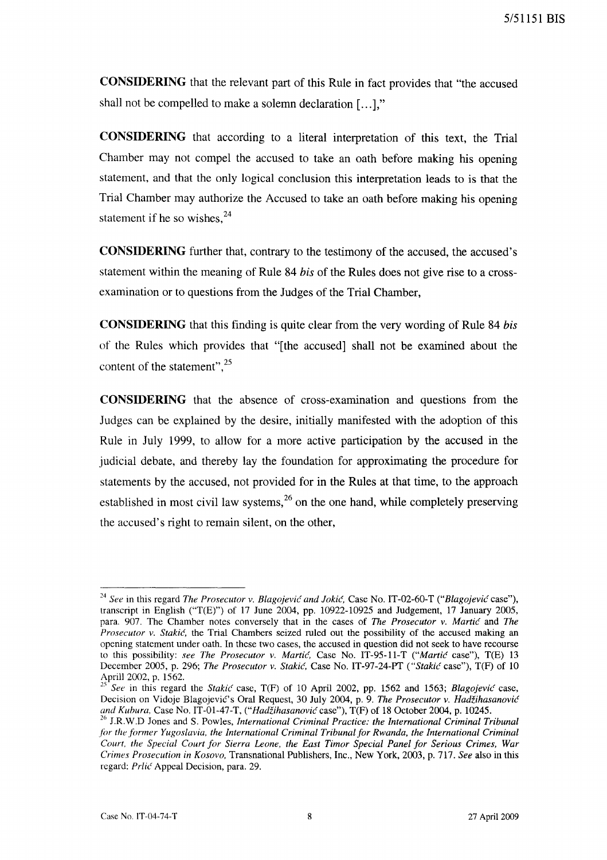**CONSIDERING** that the relevant part of this Rule in fact provides that "the accused shall not be compelled to make a solemn declaration [...],"

**CONSIDERING** that according to a literal interpretation of this text, the Trial Chamber may not compel the accused to take an oath before making his opening statement, and that the only logical conclusion this interpretation leads to is that the Trial Chamber may authorize the Accused to take an oath before making his opening statement if he so wishes. $24$ 

**CONSIDERING** further that, contrary to the testimony of the accused, the accused's statement within the meaning of Rule 84 *his* of the Rules does not give rise to a crossexamination or to questions from the Judges of the Trial Chamber,

**CONSIDERING** that this finding is quite clear from the very wording of Rule 84 *his*  of the Rules which provides that "[the accused] shall not be examined about the content of the statement", $25$ 

**CONSIDERING** that the absence of cross-examination and questions from the Judges can be explained by the desire, initially manifested with the adoption of this Rule in July 1999, to allow for a more active participation by the accused in the judicial debate, and thereby lay the foundation for approximating the procedure for statements by the accused, not provided for in the Rules at that time, to the approach established in most civil law systems,  $^{26}$  on the one hand, while completely preserving the accused's right to remain silent, on the other,

*<sup>24</sup> See* in this regard *The Prosecutor v. Blagojevie and Jokie,* Case No. IT-02-60-T *("Blagojevie* case"), transcript in English ("T(E)") of 17 June 2004, pp. 10922-10925 and Judgement, 17 January 2005, para. 907. The Chamber notes conversely that in the cases of *The Prosecutor v. Martie* and *The Prosecutor v. Stakie,* the Trial Chambers seized ruled out the possibility of the accused making an opening statement under oath. In these two cases, the accused in question did not seek to have recourse to this possibility: *see The Prosecutor v. Martie,* Case No. IT-95-11-T *("Martie* case"), T(E) 13 December 2005, p. 296; *The Prosecutor v. Stakie,* Case No. IT-97-24-PT *("Stakie* case"), T(F) of 10 April! 2002, p. 1562.

*<sup>25</sup> See* in this regard the *Stakie* case, T(F) of 10 April 2002, pp. 1562 and 1563; *Blagojevic* case, Decision on Vidoje Blagojević's Oral Request, 30 July 2004, p. 9. *The Prosecutor v. Hadžihasanović and Kuhura,* Case No. IT-0l-47-T, *("HadZihasanovie* case"), T(F) of 18 October 2004, p. 10245.

<sup>&</sup>lt;sup>26</sup> J.R.W.D Jones and S. Powles, *International Criminal Practice: the International Criminal Tribunal for the former Yugoslavia, the International Criminal Tribunal for Rwanda, the International Criminal Court, the Special Court for Sierra Leone, the East Timor Special Panel for Serious Crimes, War Crimes Prosecution in Kosovo,* Transnational Publishers, Inc., New York, 2003, p. 717. *See* also in this regard: Prlić Appeal Decision, para. 29.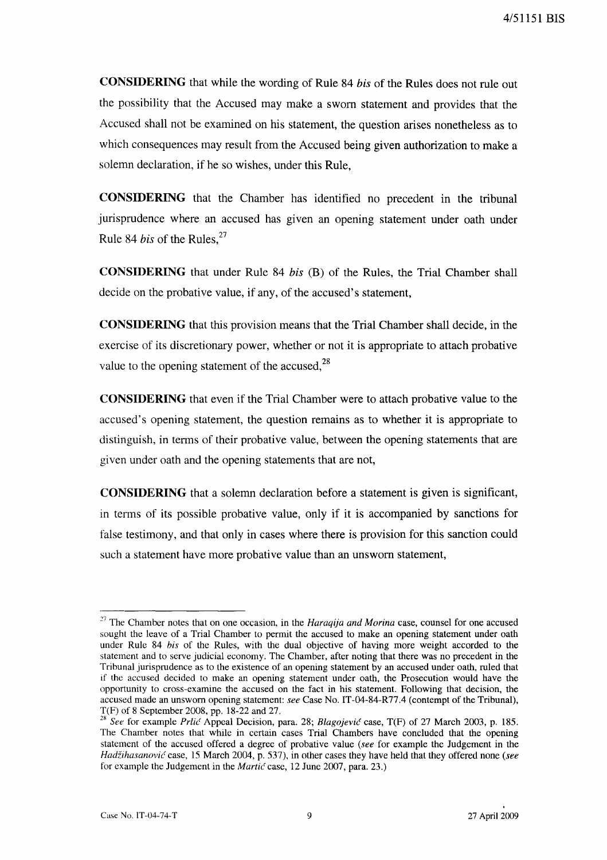**CONSIDERING** that while the wording of Rule 84 *bis* of the Rules does not rule out the possibility that the Accused may make a sworn statement and provides that the Accused shall not be examined on his statement, the question arises nonetheless as to which consequences may result from the Accused being given authorization to make a solemn declaration, if he so wishes, under this Rule,

**CONSIDERING** that the Chamber has identified no precedent in the tribunal jurisprudence where an accused has given an opening statement under oath under Rule 84 *bis* of the Rules.<sup>27</sup>

**CONSIDERING** that under Rule 84 *bis* (B) of the Rules, the Trial Chamber shall decide on the probative value, if any, of the accused's statement,

**CONSIDERING** that this provision means that the Trial Chamber shall decide, in the exercise of its discretionary power, whether or not it is appropriate to attach probative value to the opening statement of the accused, $^{28}$ 

**CONSIDERING** that even if the Trial Chamber were to attach probative value to the accused's opening statement, the question remains as to whether it is appropriate to distinguish, in terms of their probative value, between the opening statements that are given under oath and the opening statements that are not,

**CONSIDERING** that a solemn declaration before a statement is given is significant, in terms of its possible probative value, only if it is accompanied by sanctions for false testimony, and that only in cases where there is provision for this sanction could such a statement have more probative value than an unsworn statement,

<sup>27</sup> The Chamber notes that on one occasion, in the *Haraqija and Morina* case, counsel for one accused sought the leave of a Trial Chamber to permit the accused to make an opening statement under oath under Rule 84 *his* of the Rules, with the dual objective of having more weight accorded to the statement and to serve judicial economy. The Chamber, after noting that there was no precedent in the Tribunal jurisprudence as to the existence of an opening statement by an accused under oath, ruled that if the accused decided to make an opening statement under oath, the Prosecution would have the opportunity to cross-examine the accused on the fact in his statement. Following that decision, the accused made an unsworn opening statement: *see* Case No. IT-04-84-R77.4 (contempt of the Tribunal), T(F) of 8 September 2008, pp. 18-22 and 27.

*<sup>28</sup> See* for example *Prlie* Appeal Decision, para. 28; *Blagojevie* case, T(F) of 27 March 2003, p. 185. The Chamber notes that while in certain cases Trial Chambers have concluded that the opening statement of the accused offered a degree of probative value *(see* for example the Judgement in the *HadZihasanovie* case, 15 March 2004, p. 537), in other cases they have held that they offered none *(see*  for example the Judgement in the *Martie* case, 12 June 2007, para. 23.)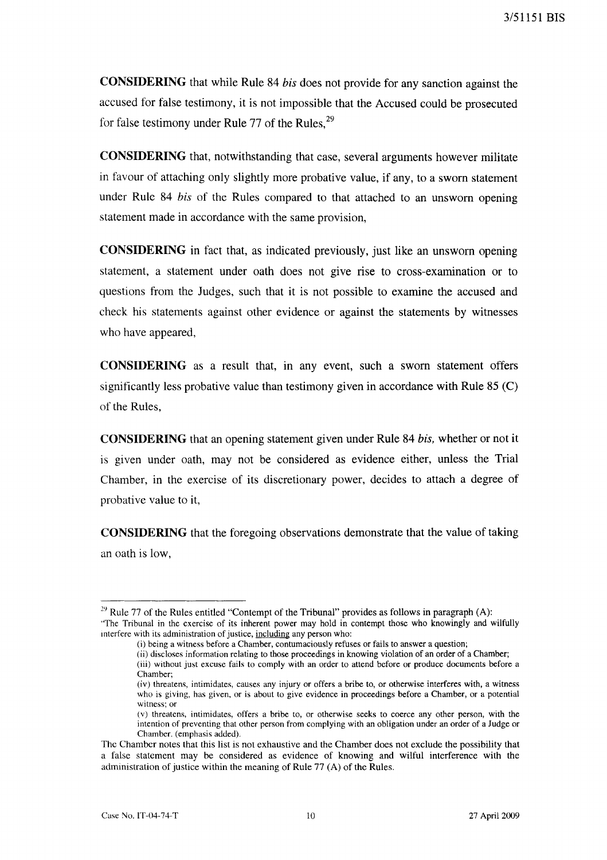**CONSIDERING** that while Rule 84 *his* does not provide for any sanction against the accused for false testimony, it is not impossible that the Accused could be prosecuted for false testimony under Rule 77 of the Rules,  $29$ 

**CONSIDERING** that, notwithstanding that case, several arguments however militate in favour of attaching only slightly more probative value, if any, to a sworn statement under Rule 84 *his* of the Rules compared to that attached to an unsworn opening statement made in accordance with the same provision,

**CONSIDERING** in fact that, as indicated previously, just like an unsworn opening statement, a statement under oath does not give rise to cross-examination or to questions from the Judges, such that it is not possible to examine the accused and check his statements against other evidence or against the statements by witnesses who have appeared,

**CONSIDERING** as a result that, in any event, such a sworn statement offers significantly less probative value than testimony given in accordance with Rule  $85 \, (\text{C})$ of the Rules,

**CONSIDERING** that an opening statement given under Rule 84 *his,* whether or not it is given under oath, may not be considered as evidence either, unless the Trial Chamber, in the exercise of its discretionary power, decides to attach a degree of probative value to it,

**CONSIDERING** that the foregoing observations demonstrate that the value of taking an oath is low,

 $29$  Rule 77 of the Rules entitled "Contempt of the Tribunal" provides as follows in paragraph (A): ''The Tribunal in the exercise of its inherent power may hold in contempt those who knowingly and wilfully interfere with its administration of justice, including any person who:

<sup>(</sup>i) being a witness before a Chamber, contumaciously refuses or fails to answer a question;

<sup>(</sup>ii) discloses information relating to those proceedings in knowing violation of an order of a Chamber; (iii) without just excuse fails to comply with an order to attend before or produce documents before a Chamber;

<sup>(</sup>iv) threatens, intimidates, causes any injury or offers a bribe to, or otherwise interferes with, a witness who is giving, has given, or is about to give evidence in proceedings before a Chamber, or a potential witness; or

<sup>(</sup>v) threatens, intimidates, offers a bribe to, or otherwise seeks to coerce any other person, with the intention of preventing that other person from complying with an obligation under an order of a Judge or Chamber. (emphasis added).

The Chamber notes that this list is not exhaustive and the Chamber does not exclude the possibility that a false statement may be considered as evidence of knowing and wilful interference with the administration of justice within the meaning of Rule 77 (A) of the Rules.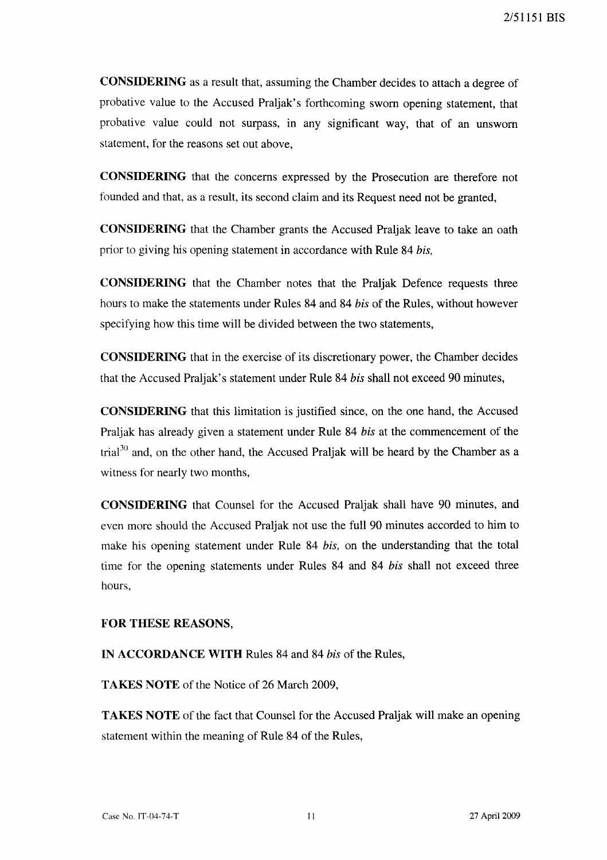CONSIDERING as a result that, assuming the Chamber decides to attach a degree of probative value to the Accused Praljak's forthcoming sworn opening statement, that probative value could not surpass, in any significant way, that of an unsworn statement, for the reasons set out above,

CONSIDERING that the concerns expressed by the Prosecution are therefore not founded and that, as a result, its second claim and its Request need not be granted,

CONSIDERING that the Chamber grants the Accused Praljak leave to take an oath prior to giving his opening statement in accordance with Rule 84 *his,* 

CONSIDERING that the Chamber notes that the Praljak Defence requests three hours to make the statements under Rules 84 and 84 *his* of the Rules, without however specifying how this time will be divided between the two statements,

CONSIDERING that in the exercise of its discretionary power, the Chamber decides that the Accused Praljak's statement under Rule 84 *his* shall not exceed 90 minutes,

CONSIDERING that this limitation is justified since, on the one hand, the Accused Praljak has already given a statement under Rule 84 *his* at the commencement of the trial<sup>30</sup> and, on the other hand, the Accused Praljak will be heard by the Chamber as a witness for nearly two months,

CONSIDERING that Counsel for the Accused Praljak shall have 90 minutes, and even more should the Accused Praljak not use the full 90 minutes accorded to him to make his opening statement under Rule 84 *his,* on the understanding that the total time for the opening statements under Rules 84 and 84 *his* shall not exceed three hours,

## FOR THESE REASONS,

IN ACCORDANCE WITH Rules 84 and 84 *his* of the Rules,

TAKES NOTE of the Notice of 26 March 2009,

TAKES NOTE of the fact that Counsel for the Accused Praljak will make an opening statement within the meaning of Rule 84 of the Rules,